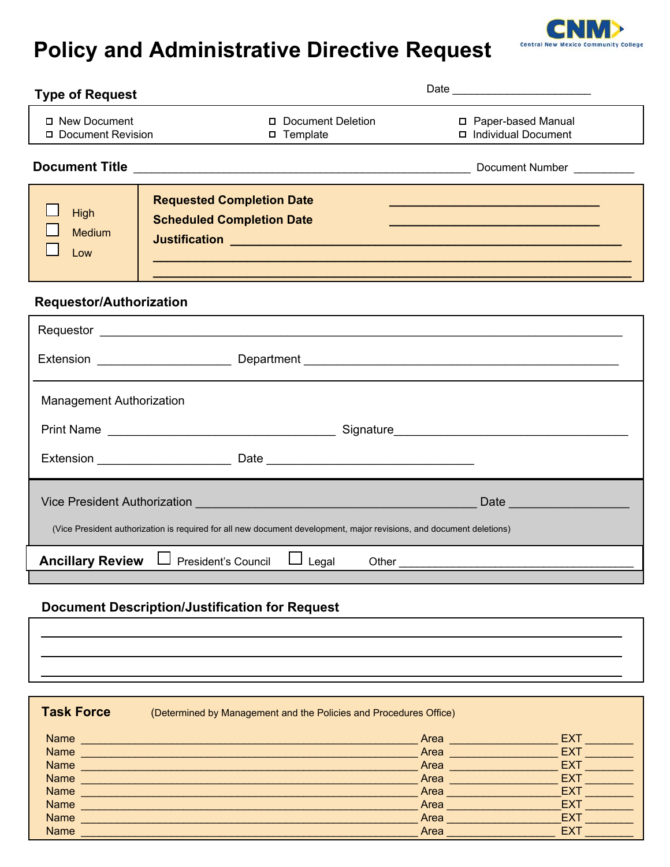# **Policy and Administrative Directive Request**

**Central New Mexico Community Col** 

| ype of Request                      |                                                                                                                      |                  |                                             |
|-------------------------------------|----------------------------------------------------------------------------------------------------------------------|------------------|---------------------------------------------|
| □ New Document<br>Document Revision | Document Deletion<br>□ Template                                                                                      |                  | □ Paper-based Manual<br>Individual Document |
|                                     |                                                                                                                      |                  |                                             |
| High<br><b>Medium</b><br>Low        | <b>Requested Completion Date</b><br><b>Scheduled Completion Date</b>                                                 |                  |                                             |
| <b>Requestor/Authorization</b>      |                                                                                                                      |                  |                                             |
|                                     |                                                                                                                      |                  |                                             |
|                                     |                                                                                                                      |                  |                                             |
| <b>Management Authorization</b>     |                                                                                                                      |                  |                                             |
|                                     |                                                                                                                      |                  |                                             |
|                                     |                                                                                                                      |                  |                                             |
|                                     |                                                                                                                      |                  |                                             |
|                                     | (Vice President authorization is required for all new document development, major revisions, and document deletions) |                  |                                             |
|                                     | <b>Ancillary Review</b> $\Box$ President's Council<br>$\Box$ Legal                                                   |                  |                                             |
|                                     | <b>Document Description/Justification for Request</b>                                                                |                  |                                             |
|                                     |                                                                                                                      |                  |                                             |
|                                     |                                                                                                                      |                  |                                             |
| <b>Task Force</b>                   | (Determined by Management and the Policies and Procedures Office)                                                    |                  |                                             |
|                                     |                                                                                                                      |                  | EXT.                                        |
|                                     |                                                                                                                      |                  | <b>EXT</b><br>Area<br><b>EXT</b>            |
| <b>Name</b>                         | <u> 2000 - Jan Barbarat, margaret eta bainar eta bainaren 1</u>                                                      |                  | Area<br><b>EXT</b><br>Area                  |
| <b>Name</b>                         |                                                                                                                      | Area             | <b>EXT</b>                                  |
| <b>Name</b>                         |                                                                                                                      | Area <b>Area</b> | <b>EXT</b>                                  |

Name \_\_\_\_\_\_\_\_\_\_\_\_\_\_\_\_\_\_\_\_\_\_\_\_\_\_\_\_\_\_\_\_\_\_\_\_\_\_\_\_\_\_\_\_\_\_\_\_\_\_\_\_\_\_\_\_ Area \_\_\_\_\_\_\_\_\_\_\_\_\_\_\_\_\_\_\_EXT \_\_\_\_\_\_\_\_ Name  $\mathcal{A}$  are all the contributions of the contribution of the contribution of the contribution of the contribution of the contribution of the contribution of the contribution of the contribution of the contribution o